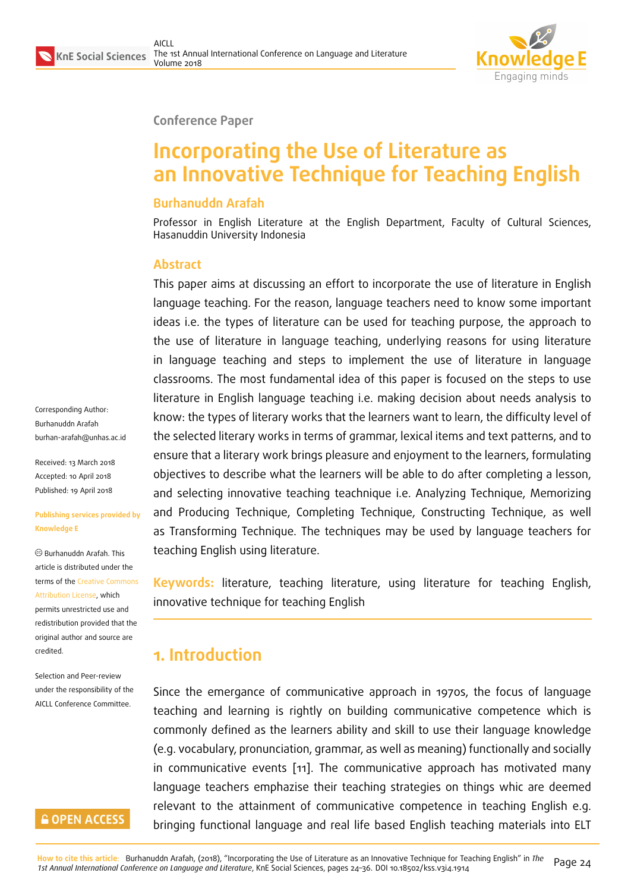

#### **Conference Paper**

# **Incorporating the Use of Literature as an Innovative Technique for Teaching English**

#### **Burhanuddn Arafah**

Professor in English Literature at the English Department, Faculty of Cultural Sciences, Hasanuddin University Indonesia

#### **Abstract**

This paper aims at discussing an effort to incorporate the use of literature in English language teaching. For the reason, language teachers need to know some important ideas i.e. the types of literature can be used for teaching purpose, the approach to the use of literature in language teaching, underlying reasons for using literature in language teaching and steps to implement the use of literature in language classrooms. The most fundamental idea of this paper is focused on the steps to use literature in English language teaching i.e. making decision about needs analysis to know: the types of literary works that the learners want to learn, the difficulty level of the selected literary works in terms of grammar, lexical items and text patterns, and to ensure that a literary work brings pleasure and enjoyment to the learners, formulating objectives to describe what the learners will be able to do after completing a lesson, and selecting innovative teaching teachnique i.e. Analyzing Technique, Memorizing and Producing Technique, Completing Technique, Constructing Technique, as well as Transforming Technique. The techniques may be used by language teachers for teaching English using literature.

**Keywords:** literature, teaching literature, using literature for teaching English, innovative technique for teaching English

## **1. Introduction**

Since the emergance of communicative approach in 1970s, the focus of language teaching and learning is rightly on building communicative competence which is commonly defined as the learners ability and skill to use their language knowledge (e.g. vocabulary, pronunciation, grammar, as well as meaning) functionally and socially in communicative events [11]. The communicative approach has motivated many language teachers emphazise their teaching strategies on things whic are deemed relevant to the attainment of communicative competence in teaching English e.g. bringing functional languag[e](#page-11-0) and real life based English teaching materials into ELT

Corresponding Author: Burhanuddn Arafah burhan-arafah@unhas.ac.id

Received: 13 March 2018 Accepted: 10 April 2018 [Published: 19 April 2018](mailto:burhan-arafah@unhas.ac.id)

#### **Publishing services provided by Knowledge E**

Burhanuddn Arafah. This article is distributed under the terms of the Creative Commons Attribution License, which permits unrestricted use and redistribution provided that the original auth[or and source are](https://creativecommons.org/licenses/by/4.0/) [credited.](https://creativecommons.org/licenses/by/4.0/)

Selection and Peer-review under the responsibility of the AICLL Conference Committee.

### **GOPEN ACCESS**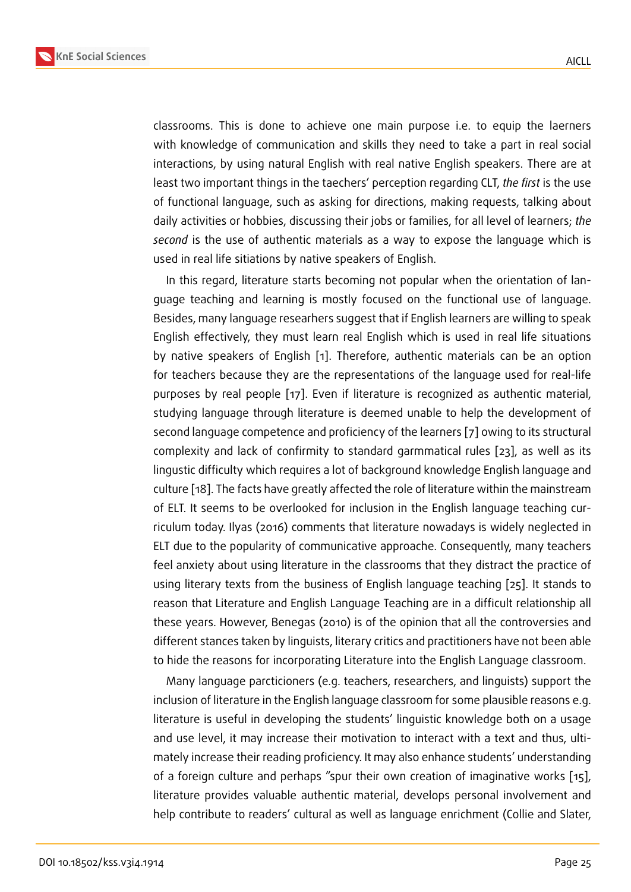classrooms. This is done to achieve one main purpose i.e. to equip the laerners with knowledge of communication and skills they need to take a part in real social interactions, by using natural English with real native English speakers. There are at least two important things in the taechers' perception regarding CLT, *the first* is the use of functional language, such as asking for directions, making requests, talking about daily activities or hobbies, discussing their jobs or families, for all level of learners; *the second* is the use of authentic materials as a way to expose the language which is used in real life sitiations by native speakers of English.

In this regard, literature starts becoming not popular when the orientation of language teaching and learning is mostly focused on the functional use of language. Besides, many language researhers suggest that if English learners are willing to speak English effectively, they must learn real English which is used in real life situations by native speakers of English [1]. Therefore, authentic materials can be an option for teachers because they are the representations of the language used for real-life purposes by real people [17]. Even if literature is recognized as authentic material, studying language through liter[at](#page-11-1)ure is deemed unable to help the development of second language competence and proficiency of the learners [7] owing to its structural complexity and lack of co[nfi](#page-12-0)rmity to standard garmmatical rules [23], as well as its lingustic difficulty which requires a lot of background knowledge English language and culture [18]. The facts have greatly affected the role of literatu[re](#page-11-2) within the mainstream of ELT. It seems to be overlooked for inclusion in the English lang[uag](#page-12-1)e teaching curriculum today. Ilyas (2016) comments that literature nowadays is widely neglected in ELT due [to](#page-12-2) the popularity of communicative approache. Consequently, many teachers feel anxiety about using literature in the classrooms that they distract the practice of using literary texts from the business of English language teaching [25]. It stands to reason that Literature and English Language Teaching are in a difficult relationship all these years. However, Benegas (2010) is of the opinion that all the controversies and different stances taken by linguists, literary critics and practitioners ha[ve](#page-12-3) not been able to hide the reasons for incorporating Literature into the English Language classroom.

Many language parcticioners (e.g. teachers, researchers, and linguists) support the inclusion of literature in the English language classroom for some plausible reasons e.g. literature is useful in developing the students' linguistic knowledge both on a usage and use level, it may increase their motivation to interact with a text and thus, ultimately increase their reading proficiency. It may also enhance students' understanding of a foreign culture and perhaps "spur their own creation of imaginative works [15], literature provides valuable authentic material, develops personal involvement and help contribute to readers' cultural as well as language enrichment (Collie and Slater,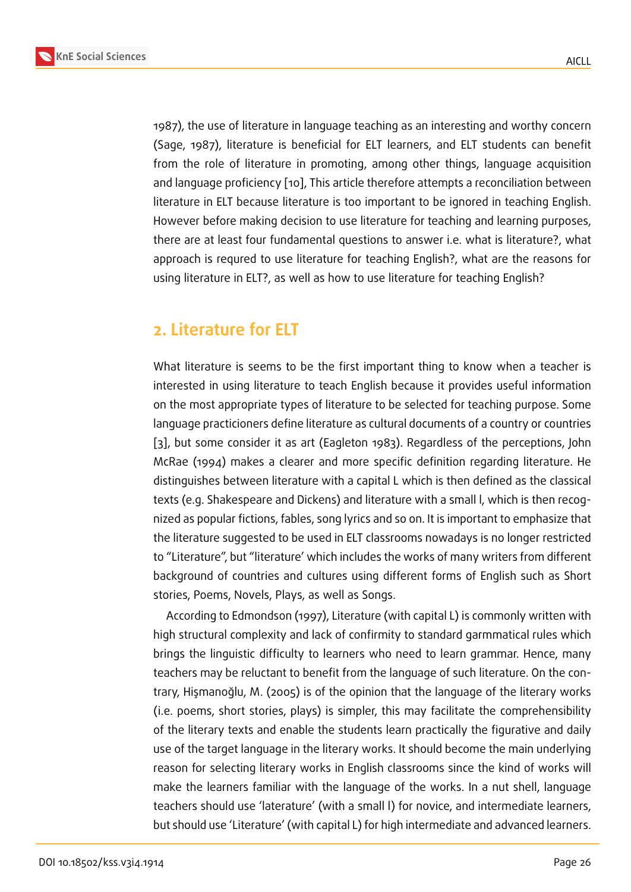1987), the use of literature in language teaching as an interesting and worthy concern (Sage, 1987), literature is beneficial for ELT learners, and ELT students can benefit from the role of literature in promoting, among other things, language acquisition and language proficiency [10], This article therefore attempts a reconciliation between literature in ELT because literature is too important to be ignored in teaching English. However before making decision to use literature for teaching and learning purposes, there are at least four fun[dam](#page-11-3)ental questions to answer i.e. what is literature?, what approach is requred to use literature for teaching English?, what are the reasons for using literature in ELT?, as well as how to use literature for teaching English?

## **2. Literature for ELT**

What literature is seems to be the first important thing to know when a teacher is interested in using literature to teach English because it provides useful information on the most appropriate types of literature to be selected for teaching purpose. Some language practicioners define literature as cultural documents of a country or countries [3], but some consider it as art (Eagleton 1983). Regardless of the perceptions, John McRae (1994) makes a clearer and more specific definition regarding literature. He distinguishes between literature with a capital L which is then defined as the classical t[e](#page-11-4)xts (e.g. Shakespeare and Dickens) and literature with a small l, which is then recognized as popular fictions, fables, song lyrics and so on. It is important to emphasize that the literature suggested to be used in ELT classrooms nowadays is no longer restricted to "Literature", but "literature' which includes the works of many writers from different background of countries and cultures using different forms of English such as Short stories, Poems, Novels, Plays, as well as Songs.

According to Edmondson (1997), Literature (with capital L) is commonly written with high structural complexity and lack of confirmity to standard garmmatical rules which brings the linguistic difficulty to learners who need to learn grammar. Hence, many teachers may be reluctant to benefit from the language of such literature. On the contrary, Hişmanoğlu, M. (2005) is of the opinion that the language of the literary works (i.e. poems, short stories, plays) is simpler, this may facilitate the comprehensibility of the literary texts and enable the students learn practically the figurative and daily use of the target language in the literary works. It should become the main underlying reason for selecting literary works in English classrooms since the kind of works will make the learners familiar with the language of the works. In a nut shell, language teachers should use 'laterature' (with a small l) for novice, and intermediate learners, but should use 'Literature' (with capital L) for high intermediate and advanced learners.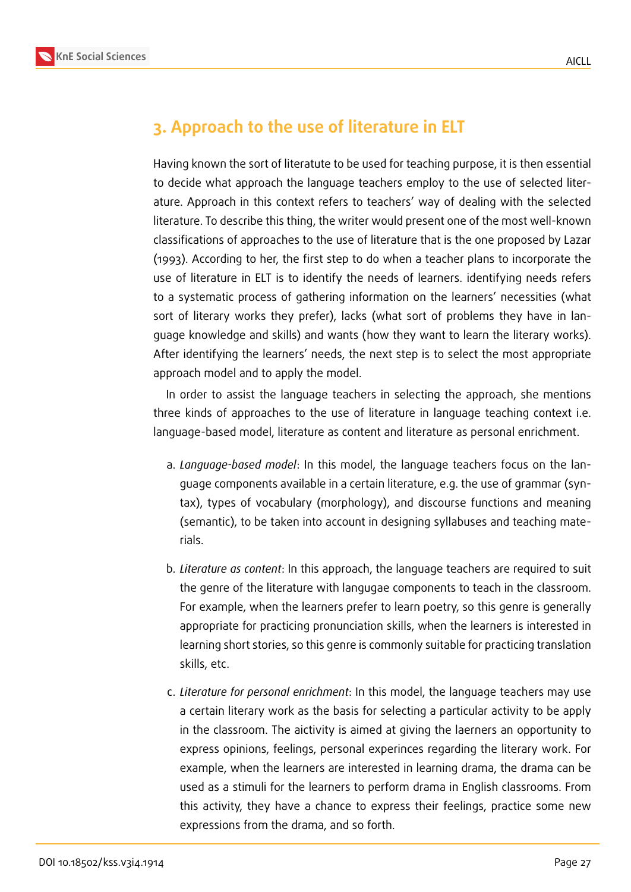



# **3. Approach to the use of literature in ELT**

Having known the sort of literatute to be used for teaching purpose, it is then essential to decide what approach the language teachers employ to the use of selected literature. Approach in this context refers to teachers' way of dealing with the selected literature. To describe this thing, the writer would present one of the most well-known classifications of approaches to the use of literature that is the one proposed by Lazar (1993). According to her, the first step to do when a teacher plans to incorporate the use of literature in ELT is to identify the needs of learners. identifying needs refers to a systematic process of gathering information on the learners' necessities (what sort of literary works they prefer), lacks (what sort of problems they have in language knowledge and skills) and wants (how they want to learn the literary works). After identifying the learners' needs, the next step is to select the most appropriate approach model and to apply the model.

In order to assist the language teachers in selecting the approach, she mentions three kinds of approaches to the use of literature in language teaching context i.e. language-based model, literature as content and literature as personal enrichment.

- a. *Language-based model*: In this model, the language teachers focus on the language components available in a certain literature, e.g. the use of grammar (syntax), types of vocabulary (morphology), and discourse functions and meaning (semantic), to be taken into account in designing syllabuses and teaching materials.
- b. *Literature as content*: In this approach, the language teachers are required to suit the genre of the literature with langugae components to teach in the classroom. For example, when the learners prefer to learn poetry, so this genre is generally appropriate for practicing pronunciation skills, when the learners is interested in learning short stories, so this genre is commonly suitable for practicing translation skills, etc.
- c. *Literature for personal enrichment*: In this model, the language teachers may use a certain literary work as the basis for selecting a particular activity to be apply in the classroom. The aictivity is aimed at giving the laerners an opportunity to express opinions, feelings, personal experinces regarding the literary work. For example, when the learners are interested in learning drama, the drama can be used as a stimuli for the learners to perform drama in English classrooms. From this activity, they have a chance to express their feelings, practice some new expressions from the drama, and so forth.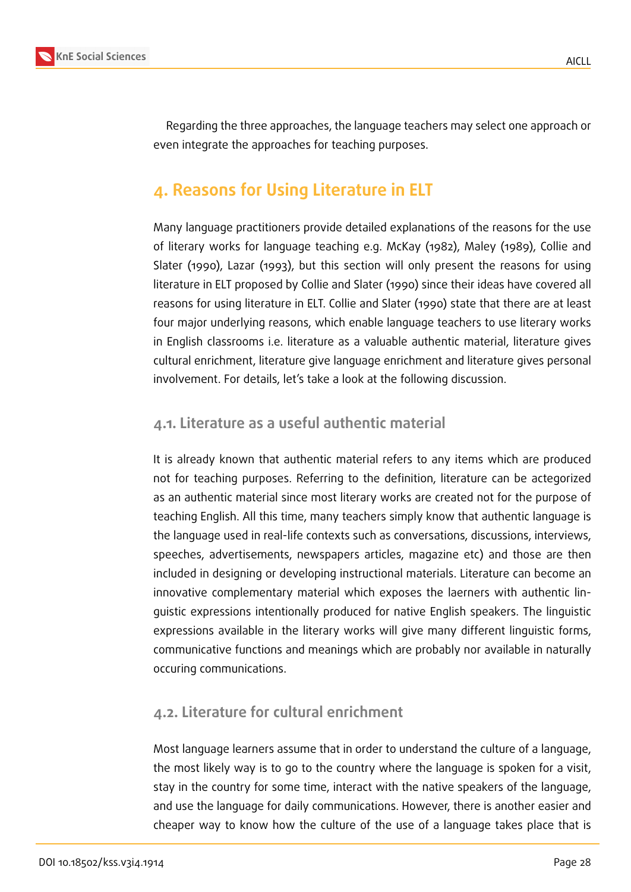

Regarding the three approaches, the language teachers may select one approach or even integrate the approaches for teaching purposes.

# **4. Reasons for Using Literature in ELT**

Many language practitioners provide detailed explanations of the reasons for the use of literary works for language teaching e.g. McKay (1982), Maley (1989), Collie and Slater (1990), Lazar (1993), but this section will only present the reasons for using literature in ELT proposed by Collie and Slater (1990) since their ideas have covered all reasons for using literature in ELT. Collie and Slater (1990) state that there are at least four major underlying reasons, which enable language teachers to use literary works in English classrooms i.e. literature as a valuable authentic material, literature gives cultural enrichment, literature give language enrichment and literature gives personal involvement. For details, let's take a look at the following discussion.

### **4.1. Literature as a useful authentic material**

It is already known that authentic material refers to any items which are produced not for teaching purposes. Referring to the definition, literature can be actegorized as an authentic material since most literary works are created not for the purpose of teaching English. All this time, many teachers simply know that authentic language is the language used in real-life contexts such as conversations, discussions, interviews, speeches, advertisements, newspapers articles, magazine etc) and those are then included in designing or developing instructional materials. Literature can become an innovative complementary material which exposes the laerners with authentic linguistic expressions intentionally produced for native English speakers. The linguistic expressions available in the literary works will give many different linguistic forms, communicative functions and meanings which are probably nor available in naturally occuring communications.

### **4.2. Literature for cultural enrichment**

Most language learners assume that in order to understand the culture of a language, the most likely way is to go to the country where the language is spoken for a visit, stay in the country for some time, interact with the native speakers of the language, and use the language for daily communications. However, there is another easier and cheaper way to know how the culture of the use of a language takes place that is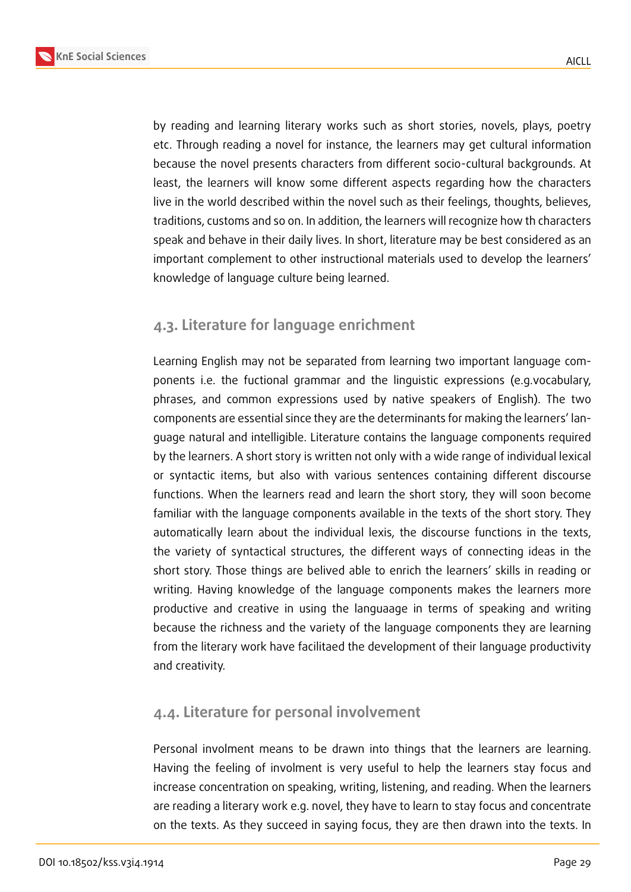

by reading and learning literary works such as short stories, novels, plays, poetry etc. Through reading a novel for instance, the learners may get cultural information because the novel presents characters from different socio-cultural backgrounds. At least, the learners will know some different aspects regarding how the characters live in the world described within the novel such as their feelings, thoughts, believes, traditions, customs and so on. In addition, the learners will recognize how th characters speak and behave in their daily lives. In short, literature may be best considered as an important complement to other instructional materials used to develop the learners' knowledge of language culture being learned.

## **4.3. Literature for language enrichment**

Learning English may not be separated from learning two important language components i.e. the fuctional grammar and the linguistic expressions (e.g.vocabulary, phrases, and common expressions used by native speakers of English). The two components are essential since they are the determinants for making the learners' language natural and intelligible. Literature contains the language components required by the learners. A short story is written not only with a wide range of individual lexical or syntactic items, but also with various sentences containing different discourse functions. When the learners read and learn the short story, they will soon become familiar with the language components available in the texts of the short story. They automatically learn about the individual lexis, the discourse functions in the texts, the variety of syntactical structures, the different ways of connecting ideas in the short story. Those things are belived able to enrich the learners' skills in reading or writing. Having knowledge of the language components makes the learners more productive and creative in using the languaage in terms of speaking and writing because the richness and the variety of the language components they are learning from the literary work have facilitaed the development of their language productivity and creativity.

### **4.4. Literature for personal involvement**

Personal involment means to be drawn into things that the learners are learning. Having the feeling of involment is very useful to help the learners stay focus and increase concentration on speaking, writing, listening, and reading. When the learners are reading a literary work e.g. novel, they have to learn to stay focus and concentrate on the texts. As they succeed in saying focus, they are then drawn into the texts. In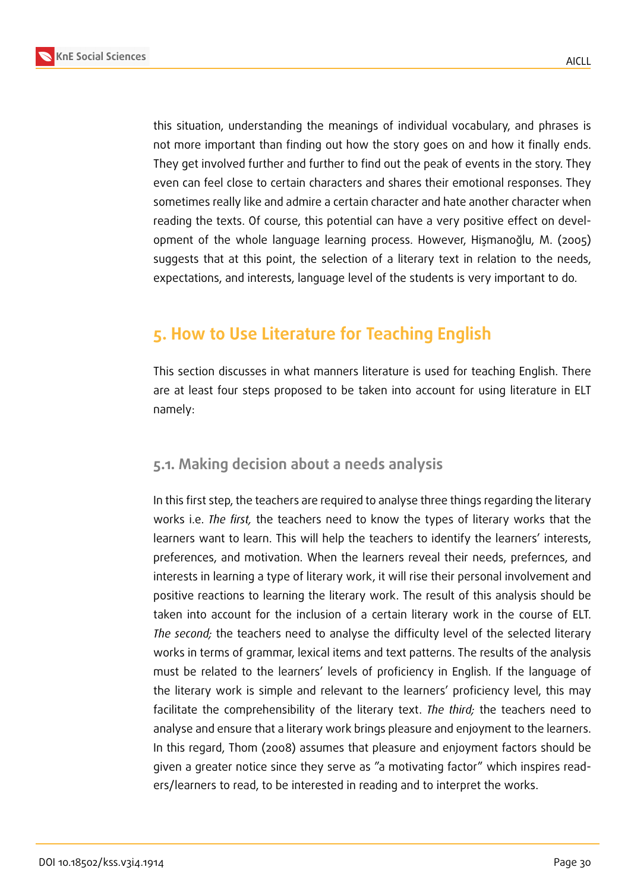



this situation, understanding the meanings of individual vocabulary, and phrases is not more important than finding out how the story goes on and how it finally ends. They get involved further and further to find out the peak of events in the story. They even can feel close to certain characters and shares their emotional responses. They sometimes really like and admire a certain character and hate another character when reading the texts. Of course, this potential can have a very positive effect on development of the whole language learning process. However, Hişmanoğlu, M. (2005) suggests that at this point, the selection of a literary text in relation to the needs, expectations, and interests, language level of the students is very important to do.

# **5. How to Use Literature for Teaching English**

This section discusses in what manners literature is used for teaching English. There are at least four steps proposed to be taken into account for using literature in ELT namely:

### **5.1. Making decision about a needs analysis**

In this first step, the teachers are required to analyse three things regarding the literary works i.e. *The first,* the teachers need to know the types of literary works that the learners want to learn. This will help the teachers to identify the learners' interests, preferences, and motivation. When the learners reveal their needs, prefernces, and interests in learning a type of literary work, it will rise their personal involvement and positive reactions to learning the literary work. The result of this analysis should be taken into account for the inclusion of a certain literary work in the course of ELT. *The second;* the teachers need to analyse the difficulty level of the selected literary works in terms of grammar, lexical items and text patterns. The results of the analysis must be related to the learners' levels of proficiency in English. If the language of the literary work is simple and relevant to the learners' proficiency level, this may facilitate the comprehensibility of the literary text. *The third;* the teachers need to analyse and ensure that a literary work brings pleasure and enjoyment to the learners. In this regard, Thom (2008) assumes that pleasure and enjoyment factors should be given a greater notice since they serve as "a motivating factor" which inspires readers/learners to read, to be interested in reading and to interpret the works.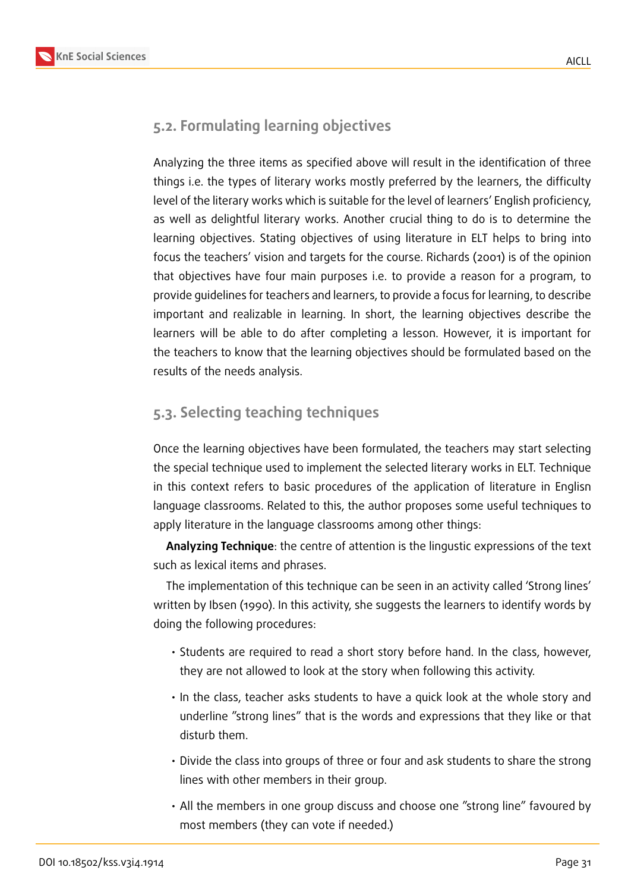## **5.2. Formulating learning objectives**

Analyzing the three items as specified above will result in the identification of three things i.e. the types of literary works mostly preferred by the learners, the difficulty level of the literary works which is suitable for the level of learners' English proficiency, as well as delightful literary works. Another crucial thing to do is to determine the learning objectives. Stating objectives of using literature in ELT helps to bring into focus the teachers' vision and targets for the course. Richards (2001) is of the opinion that objectives have four main purposes i.e. to provide a reason for a program, to provide guidelines for teachers and learners, to provide a focus for learning, to describe important and realizable in learning. In short, the learning objectives describe the learners will be able to do after completing a lesson. However, it is important for the teachers to know that the learning objectives should be formulated based on the results of the needs analysis.

## **5.3. Selecting teaching techniques**

Once the learning objectives have been formulated, the teachers may start selecting the special technique used to implement the selected literary works in ELT. Technique in this context refers to basic procedures of the application of literature in Englisn language classrooms. Related to this, the author proposes some useful techniques to apply literature in the language classrooms among other things:

**Analyzing Technique**: the centre of attention is the lingustic expressions of the text such as lexical items and phrases.

The implementation of this technique can be seen in an activity called 'Strong lines' written by Ibsen (1990). In this activity, she suggests the learners to identify words by doing the following procedures:

- Students are required to read a short story before hand. In the class, however, they are not allowed to look at the story when following this activity.
- In the class, teacher asks students to have a quick look at the whole story and underline "strong lines" that is the words and expressions that they like or that disturb them.
- Divide the class into groups of three or four and ask students to share the strong lines with other members in their group.
- All the members in one group discuss and choose one "strong line" favoured by most members (they can vote if needed.)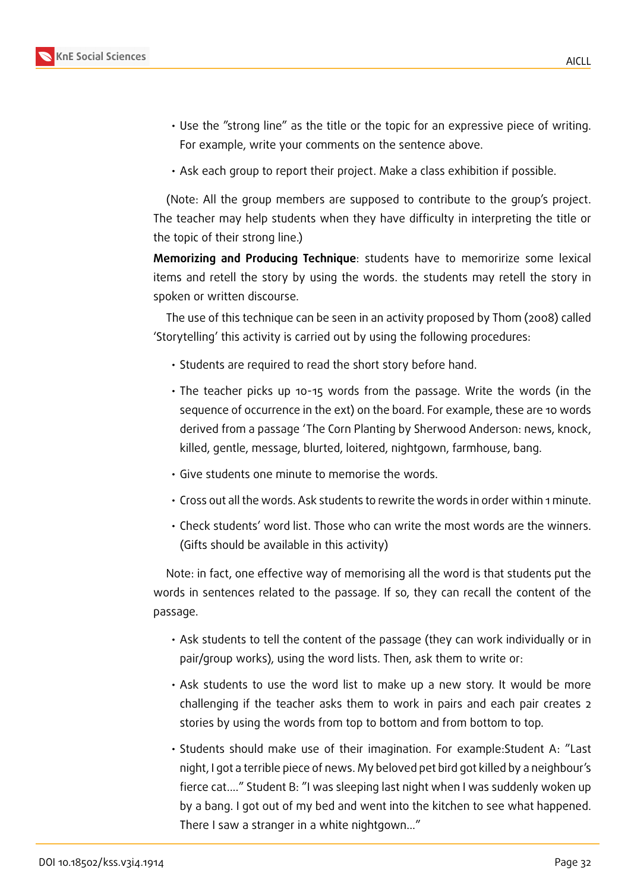- Use the "strong line" as the title or the topic for an expressive piece of writing. For example, write your comments on the sentence above.
- Ask each group to report their project. Make a class exhibition if possible.

(Note: All the group members are supposed to contribute to the group's project. The teacher may help students when they have difficulty in interpreting the title or the topic of their strong line.)

**Memorizing and Producing Technique**: students have to memoririze some lexical items and retell the story by using the words. the students may retell the story in spoken or written discourse.

The use of this technique can be seen in an activity proposed by Thom (2008) called 'Storytelling' this activity is carried out by using the following procedures:

- Students are required to read the short story before hand.
- The teacher picks up 10-15 words from the passage. Write the words (in the sequence of occurrence in the ext) on the board. For example, these are 10 words derived from a passage 'The Corn Planting by Sherwood Anderson: news, knock, killed, gentle, message, blurted, loitered, nightgown, farmhouse, bang.
- Give students one minute to memorise the words.
- Cross out all the words. Ask students to rewrite the words in order within 1 minute.
- Check students' word list. Those who can write the most words are the winners. (Gifts should be available in this activity)

Note: in fact, one effective way of memorising all the word is that students put the words in sentences related to the passage. If so, they can recall the content of the passage.

- Ask students to tell the content of the passage (they can work individually or in pair/group works), using the word lists. Then, ask them to write or:
- Ask students to use the word list to make up a new story. It would be more challenging if the teacher asks them to work in pairs and each pair creates 2 stories by using the words from top to bottom and from bottom to top.
- Students should make use of their imagination. For example:Student A: "Last night, I got a terrible piece of news. My beloved pet bird got killed by a neighbour's fierce cat...." Student B: "I was sleeping last night when I was suddenly woken up by a bang. I got out of my bed and went into the kitchen to see what happened. There I saw a stranger in a white nightgown..."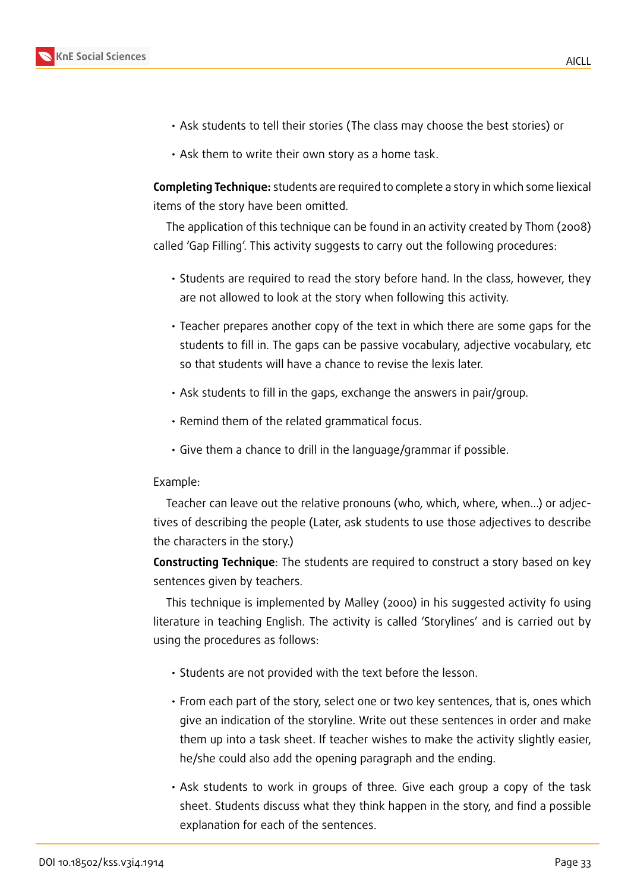

- Ask students to tell their stories (The class may choose the best stories) or
- Ask them to write their own story as a home task.

**Completing Technique:** students are required to complete a story in which some liexical items of the story have been omitted.

The application of this technique can be found in an activity created by Thom (2008) called 'Gap Filling'. This activity suggests to carry out the following procedures:

- Students are required to read the story before hand. In the class, however, they are not allowed to look at the story when following this activity.
- Teacher prepares another copy of the text in which there are some gaps for the students to fill in. The gaps can be passive vocabulary, adjective vocabulary, etc so that students will have a chance to revise the lexis later.
- Ask students to fill in the gaps, exchange the answers in pair/group.
- Remind them of the related grammatical focus.
- Give them a chance to drill in the language/grammar if possible.

#### Example:

Teacher can leave out the relative pronouns (who, which, where, when...) or adjectives of describing the people (Later, ask students to use those adjectives to describe the characters in the story.)

**Constructing Technique**: The students are required to construct a story based on key sentences given by teachers.

This technique is implemented by Malley (2000) in his suggested activity fo using literature in teaching English. The activity is called 'Storylines' and is carried out by using the procedures as follows:

- Students are not provided with the text before the lesson.
- From each part of the story, select one or two key sentences, that is, ones which give an indication of the storyline. Write out these sentences in order and make them up into a task sheet. If teacher wishes to make the activity slightly easier, he/she could also add the opening paragraph and the ending.
- Ask students to work in groups of three. Give each group a copy of the task sheet. Students discuss what they think happen in the story, and find a possible explanation for each of the sentences.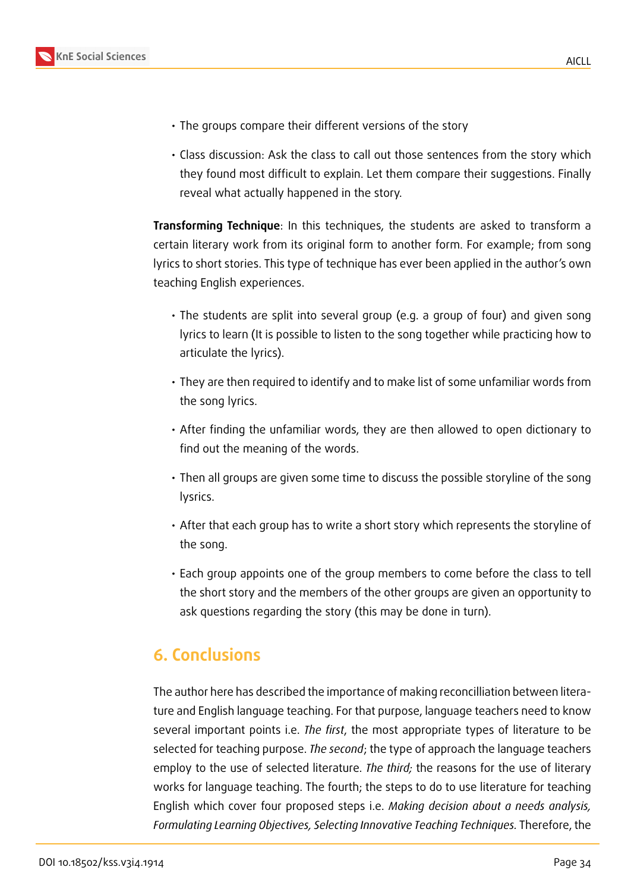

- The groups compare their different versions of the story
- Class discussion: Ask the class to call out those sentences from the story which they found most difficult to explain. Let them compare their suggestions. Finally reveal what actually happened in the story.

**Transforming Technique**: In this techniques, the students are asked to transform a certain literary work from its original form to another form. For example; from song lyrics to short stories. This type of technique has ever been applied in the author's own teaching English experiences.

- The students are split into several group (e.g. a group of four) and given song lyrics to learn (It is possible to listen to the song together while practicing how to articulate the lyrics).
- They are then required to identify and to make list of some unfamiliar words from the song lyrics.
- After finding the unfamiliar words, they are then allowed to open dictionary to find out the meaning of the words.
- Then all groups are given some time to discuss the possible storyline of the song lysrics.
- After that each group has to write a short story which represents the storyline of the song.
- Each group appoints one of the group members to come before the class to tell the short story and the members of the other groups are given an opportunity to ask questions regarding the story (this may be done in turn).

# **6. Conclusions**

The author here has described the importance of making reconcilliation between literature and English language teaching. For that purpose, language teachers need to know several important points i.e. *The first*, the most appropriate types of literature to be selected for teaching purpose. *The second*; the type of approach the language teachers employ to the use of selected literature. *The third;* the reasons for the use of literary works for language teaching. The fourth; the steps to do to use literature for teaching English which cover four proposed steps i.e. *Making decision about a needs analysis, Formulating Learning Objectives, Selecting Innovative Teaching Techniques.* Therefore, the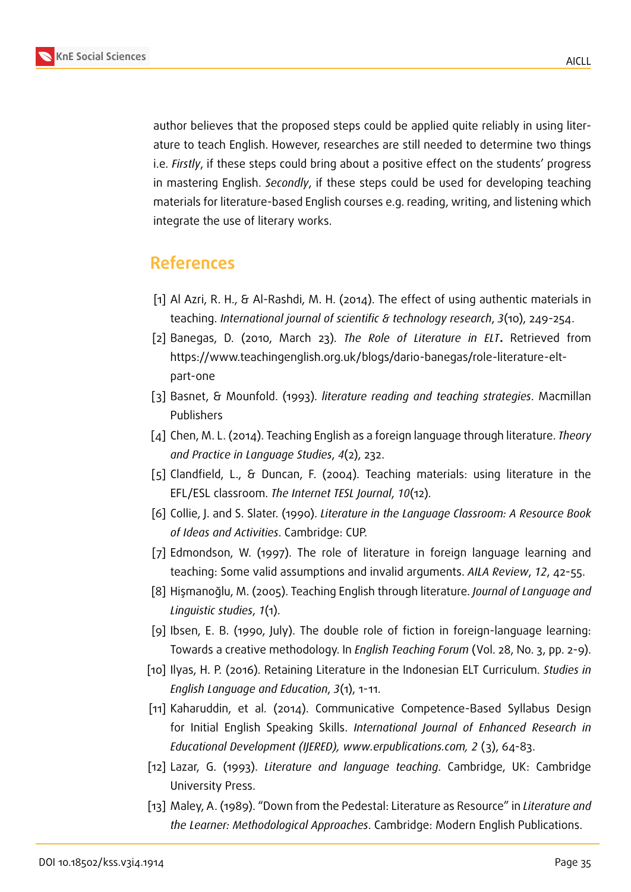

author believes that the proposed steps could be applied quite reliably in using literature to teach English. However, researches are still needed to determine two things i.e. *Firstly*, if these steps could bring about a positive effect on the students' progress in mastering English. *Secondly*, if these steps could be used for developing teaching materials for literature-based English courses e.g. reading, writing, and listening which integrate the use of literary works.

# **References**

- <span id="page-11-1"></span>[1] Al Azri, R. H., & Al-Rashdi, M. H. (2014). The effect of using authentic materials in teaching. *International journal of scientific & technology research*, *3*(10), 249-254.
- [2] Banegas, D. (2010, March 23). *The Role of Literature in ELT***.** Retrieved from https://www.teachingenglish.org.uk/blogs/dario-banegas/role-literature-eltpart-one
- <span id="page-11-4"></span>[3] Basnet, & Mounfold. (1993). *literature reading and teaching strategies*. Macmillan Publishers
- [4] Chen, M. L. (2014). Teaching English as a foreign language through literature. *Theory and Practice in Language Studies*, *4*(2), 232.
- [5] Clandfield, L., & Duncan, F. (2004). Teaching materials: using literature in the EFL/ESL classroom. *The Internet TESL Journal*, *10*(12).
- [6] Collie, J. and S. Slater. (1990). *Literature in the Language Classroom: A Resource Book of Ideas and Activities*. Cambridge: CUP.
- <span id="page-11-2"></span>[7] Edmondson, W. (1997). The role of literature in foreign language learning and teaching: Some valid assumptions and invalid arguments. *AILA Review*, *12*, 42-55.
- [8] Hişmanoğlu, M. (2005). Teaching English through literature. *Journal of Language and Linguistic studies*, *1*(1).
- [9] Ibsen, E. B. (1990, July). The double role of fiction in foreign-language learning: Towards a creative methodology. In *English Teaching Forum* (Vol. 28, No. 3, pp. 2-9).
- <span id="page-11-3"></span>[10] Ilyas, H. P. (2016). Retaining Literature in the Indonesian ELT Curriculum. *Studies in English Language and Education*, *3*(1), 1-11.
- <span id="page-11-0"></span>[11] Kaharuddin, et al. (2014). Communicative Competence-Based Syllabus Design for Initial English Speaking Skills. *International Journal of Enhanced Research in Educational Development (IJERED), www.erpublications.com, 2* (3), 64-83.
- [12] Lazar, G. (1993). *Literature and language teaching*. Cambridge, UK: Cambridge University Press.
- [13] Maley, A. (1989). "Down from the Pedestal: Literature as Resource" in *Literature and the Learner: Methodological Approaches*. Cambridge: Modern English Publications.